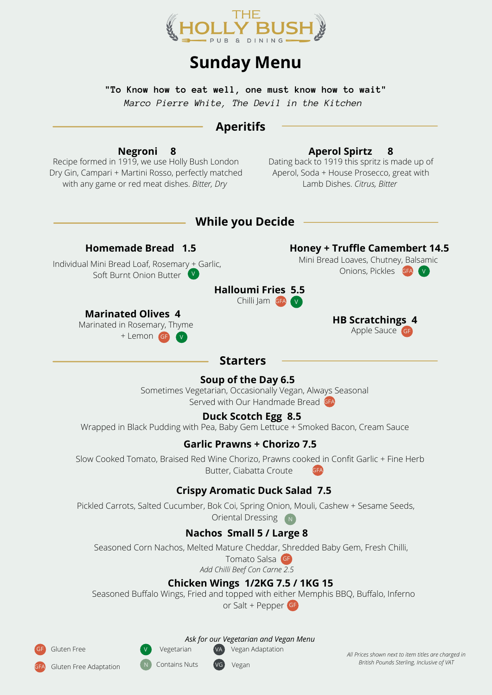

# **Sunday Menu**

**"To Know how to eat well, one must know how to wait"** *Marco Pierre White, The Devil in the Kitchen*

# **Aperitifs**

#### **Aperol Spirtz 8**

Recipe formed in 1919, we use Holly Bush London Dry Gin, Campari + Martini Rosso, perfectly matched with any game or red meat dishes. *Bitter, Dry*

**Negroni 8**

Dating back to 1919 this spritz is made up of Aperol, Soda + House Prosecco, great with Lamb Dishes. *Citrus, Bitter*

### **While you Decide**

#### **Homemade Bread 1.5**

Individual Mini Bread Loaf, Rosemary + Garlic, Soft Burnt Onion Butter V

#### **Halloumi Fries 5.5** Chilli Jam GFA V

### **Marinated Olives 4**

Marinated in Rosemary, Thyme + Lemon GF <sup>V</sup>

#### **Honey + Truffle Camembert 14.5**

Mini Bread Loaves, Chutney, Balsamic Onions, Pickles GFA V

#### **HB Scratchings 4** Apple Sauce GF

### **Starters**

### **Soup of the Day 6.5**

Sometimes Vegetarian, Occasionally Vegan, Always Seasonal Served with Our Handmade Bread GFA

### **Duck Scotch Egg 8.5**

Wrapped in Black Pudding with Pea, Baby Gem Lettuce + Smoked Bacon, Cream Sauce

### **Garlic Prawns + Chorizo 7.5**

Slow Cooked Tomato, Braised Red Wine Chorizo, Prawns cooked in Confit Garlic + Fine Herb Butter, Ciabatta Croute

### **Crispy Aromatic Duck Salad 7.5**

Pickled Carrots, Salted Cucumber, Bok Coi, Spring Onion, Mouli, Cashew + Sesame Seeds, Oriental Dressing  $N$ 

## **Nachos Small 5 / Large 8**

Seasoned Corn Nachos, Melted Mature Cheddar, Shredded Baby Gem, Fresh Chilli,

Tomato Salsa GF *Add Chilli Beef Con Carne 2.5*

## **Chicken Wings 1/2KG 7.5 / 1KG 15**

Seasoned Buffalo Wings, Fried and topped with either Memphis BBQ, Buffalo, Inferno or Salt + Pepper GF

Gluten Free

Gluten Free Adaptation

VA Vegan Adaptation *Ask for our Vegetarian and Vegan Menu*

VG Vegan

Vegetarian Contains Nuts

*All Prices shown next to item titles are charged in British Pounds Sterling, Inclusive of VAT*